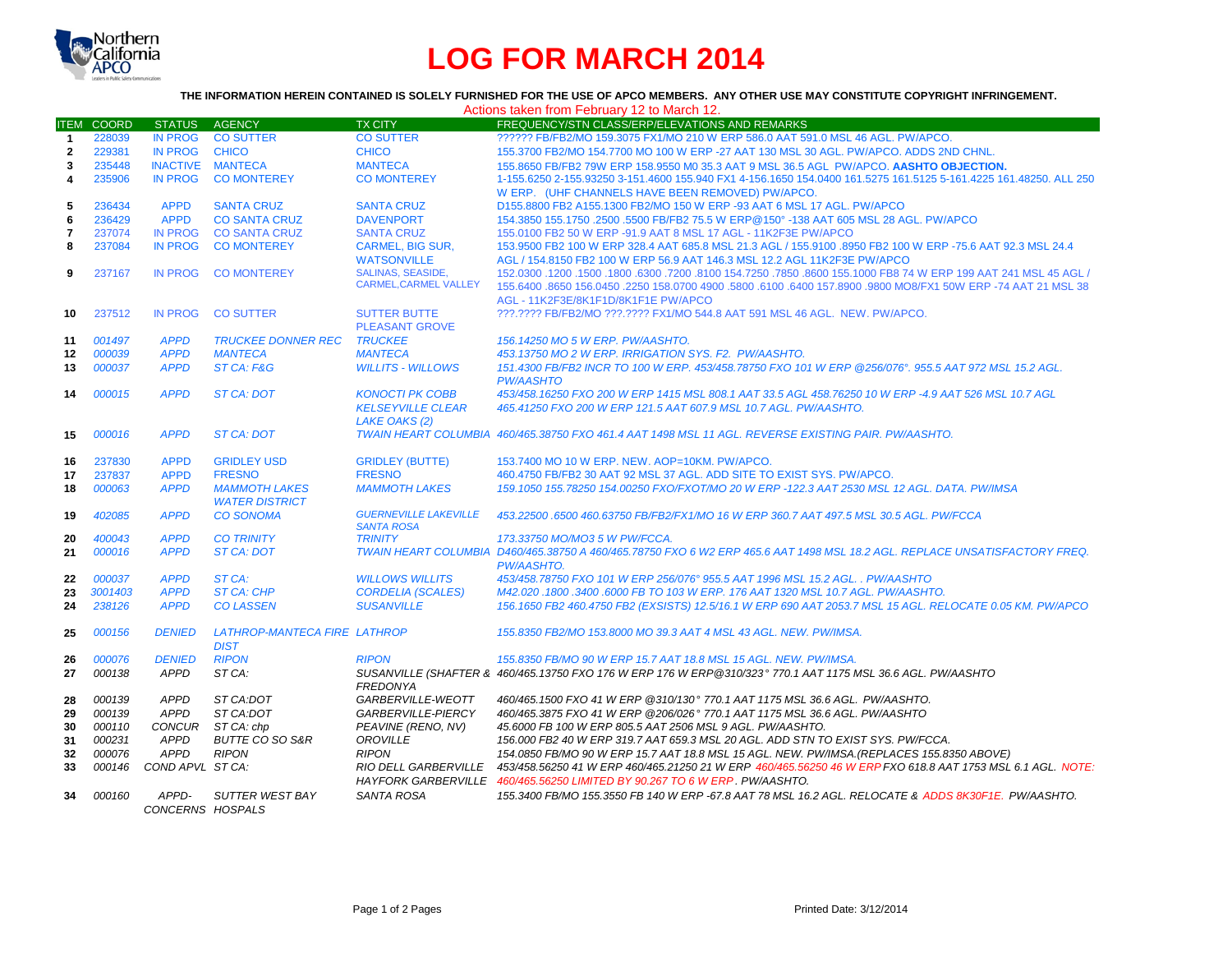

## **LOG FOR MARCH 2014**

## **THE INFORMATION HEREIN CONTAINED IS SOLELY FURNISHED FOR THE USE OF APCO MEMBERS. ANY OTHER USE MAY CONSTITUTE COPYRIGHT INFRINGEMENT.**

Actions taken from February 12 to March 12.

| <b>ITEM</b>    | <b>COORD</b>     | STATUS AGENCY                   |                                               | <b>TX CITY</b>                                                             | FREQUENCY/STN CLASS/ERP/ELEVATIONS AND REMARKS                                                                                                                                                                                                                          |
|----------------|------------------|---------------------------------|-----------------------------------------------|----------------------------------------------------------------------------|-------------------------------------------------------------------------------------------------------------------------------------------------------------------------------------------------------------------------------------------------------------------------|
| -1             | 228039           | <b>IN PROG</b>                  | <b>CO SUTTER</b>                              | <b>CO SUTTER</b>                                                           | ?????? FB/FB2/MO 159.3075 FX1/MO 210 W ERP 586.0 AAT 591.0 MSL 46 AGL, PW/APCO,                                                                                                                                                                                         |
| $\mathbf{2}$   | 229381           | <b>IN PROG</b>                  | <b>CHICO</b>                                  | <b>CHICO</b>                                                               | 155.3700 FB2/MO 154.7700 MO 100 W ERP -27 AAT 130 MSL 30 AGL. PW/APCO. ADDS 2ND CHNL.                                                                                                                                                                                   |
| 3              | 235448           | INACTIVE MANTECA                |                                               | <b>MANTECA</b>                                                             | 155.8650 FB/FB2 79W ERP 158.9550 M0 35.3 AAT 9 MSL 36.5 AGL PW/APCO. AASHTO OBJECTION.                                                                                                                                                                                  |
| 4              | 235906           | <b>IN PROG</b>                  | <b>CO MONTEREY</b>                            | <b>CO MONTEREY</b>                                                         | 1-155.6250 2-155.93250 3-151.4600 155.940 FX1 4-156.1650 154.0400 161.5275 161.5125 5-161.4225 161.48250. ALL 250<br>W ERP. (UHF CHANNELS HAVE BEEN REMOVED) PW/APCO.                                                                                                   |
| 5              | 236434           | <b>APPD</b>                     | <b>SANTA CRUZ</b>                             | <b>SANTA CRUZ</b>                                                          | D155,8800 FB2 A155,1300 FB2/MO 150 W ERP -93 AAT 6 MSL 17 AGL, PW/APCO                                                                                                                                                                                                  |
| 6              | 236429           | <b>APPD</b>                     | <b>CO SANTA CRUZ</b>                          | <b>DAVENPORT</b>                                                           | 154.3850 155.1750 .2500 .5500 FB/FB2 75.5 W ERP@150° -138 AAT 605 MSL 28 AGL. PW/APCO                                                                                                                                                                                   |
| $\overline{7}$ | 237074           | <b>IN PROG</b>                  | <b>CO SANTA CRUZ</b>                          | <b>SANTA CRUZ</b>                                                          | 155,0100 FB2 50 W ERP -91.9 AAT 8 MSL 17 AGL - 11K2F3E PW/APCO                                                                                                                                                                                                          |
| 8              | 237084           | <b>IN PROG</b>                  | <b>CO MONTEREY</b>                            | <b>CARMEL, BIG SUR.</b><br><b>WATSONVILLE</b>                              | 153,9500 FB2 100 W ERP 328.4 AAT 685.8 MSL 21.3 AGL / 155,9100 .8950 FB2 100 W ERP -75.6 AAT 92.3 MSL 24.4<br>AGL / 154.8150 FB2 100 W ERP 56.9 AAT 146.3 MSL 12.2 AGL 11K2F3E PW/APCO                                                                                  |
| 9              | 237167           | <b>IN PROG</b>                  | <b>CO MONTEREY</b>                            | SALINAS, SEASIDE,<br><b>CARMEL.CARMEL VALLEY</b>                           | 150 45 45 45 45 45 45 45 45 660 651000 6300 7800 6300 63100 63100 63100 631000 7860 6300 6300 1200 155.1000 FB<br>155.6400 .8650 156.0450 .2250 158.0700 4900 .5800 .6100 .6400 157.8900 .9800 MO8/FX1 50W ERP -74 AAT 21 MSL 38<br>AGL - 11K2F3E/8K1F1D/8K1F1E PW/APCO |
| 10             | 237512           | <b>IN PROG</b>                  | <b>CO SUTTER</b>                              | <b>SUTTER BUTTE</b><br><b>PLEASANT GROVE</b>                               | ???.???? FB/FB2/MO ???.???? FX1/MO 544.8 AAT 591 MSL 46 AGL. NEW. PW/APCO.                                                                                                                                                                                              |
| 11             | 001497           | <b>APPD</b>                     | <b>TRUCKEE DONNER REC</b>                     | <b>TRUCKEE</b>                                                             | 156.14250 MO 5 W ERP. PW/AASHTO.                                                                                                                                                                                                                                        |
| 12             | 000039           | <b>APPD</b>                     | <b>MANTECA</b>                                | <b>MANTECA</b>                                                             | 453.13750 MO 2 W ERP. IRRIGATION SYS. F2. PW/AASHTO.                                                                                                                                                                                                                    |
| 13             | 000037           | <b>APPD</b>                     | ST CA: F&G                                    | <b>WILLITS - WILLOWS</b>                                                   | 151.4300 FB/FB2 INCR TO 100 W ERP. 453/458.78750 FXO 101 W ERP @256/076°. 955.5 AAT 972 MSL 15.2 AGL.<br><b>PW/AASHTO</b>                                                                                                                                               |
| 14             | 000015           | <b>APPD</b>                     | <b>ST CA: DOT</b>                             | <b>KONOCTI PK COBB</b><br><b>KELSEYVILLE CLEAR</b><br><b>LAKE OAKS (2)</b> | 453/458.16250 FXO 200 W ERP 1415 MSL 808.1 AAT 33.5 AGL 458.76250 10 W ERP -4.9 AAT 526 MSL 10.7 AGL<br>465.41250 FXO 200 W ERP 121.5 AAT 607.9 MSL 10.7 AGL, PW/AASHTO.                                                                                                |
| 15             | 000016           | <b>APPD</b>                     | ST CA: DOT                                    |                                                                            | TWAIN HEART COLUMBIA 460/465.38750 FXO 461.4 AAT 1498 MSL 11 AGL. REVERSE EXISTING PAIR. PW/AASHTO.                                                                                                                                                                     |
| 16             | 237830           | <b>APPD</b>                     | <b>GRIDLEY USD</b>                            | <b>GRIDLEY (BUTTE)</b>                                                     | 153.7400 MO 10 W ERP. NEW. AOP=10KM. PW/APCO.                                                                                                                                                                                                                           |
| 17             | 237837           | <b>APPD</b>                     | <b>FRESNO</b>                                 | <b>FRESNO</b>                                                              | 460.4750 FB/FB2 30 AAT 92 MSL 37 AGL, ADD SITE TO EXIST SYS, PW/APCO.                                                                                                                                                                                                   |
| 18             | 000063           | <b>APPD</b>                     | <b>MAMMOTH LAKES</b><br><b>WATER DISTRICT</b> | <b>MAMMOTH LAKES</b>                                                       | 159.1050 155.78250 154.00250 FXO/FXOT/MO 20 W ERP -122.3 AAT 2530 MSL 12 AGL. DATA. PW/IMSA                                                                                                                                                                             |
| 19             | 402085           | <b>APPD</b>                     | <b>CO SONOMA</b>                              | <b>GUERNEVILLE LAKEVILLE</b><br><b>SANTA ROSA</b>                          | 453.22500 .6500 460.63750 FB/FB2/FX1/MO 16 W ERP 360.7 AAT 497.5 MSL 30.5 AGL. PW/FCCA                                                                                                                                                                                  |
| 20             | 400043           | <b>APPD</b>                     | <b>CO TRINITY</b>                             | <b>TRINITY</b>                                                             | 173.33750 MO/MO3 5 W PW/FCCA.                                                                                                                                                                                                                                           |
| 21             | 000016           | <b>APPD</b>                     | <b>ST CA: DOT</b>                             |                                                                            | TWAIN HEART COLUMBIA D460/465.38750 A 460/465.78750 FXO 6 W2 ERP 465.6 AAT 1498 MSL 18.2 AGL. REPLACE UNSATISFACTORY FREQ.<br><b>PW/AASHTO.</b>                                                                                                                         |
| 22             | 000037           | <b>APPD</b>                     | ST CA:                                        | <b>WILLOWS WILLITS</b>                                                     | 453/458.78750 FXO 101 W ERP 256/076° 955.5 AAT 1996 MSL 15.2 AGL., PW/AASHTO                                                                                                                                                                                            |
| 23             | 3001403          | <b>APPD</b>                     | <b>ST CA: CHP</b>                             | <b>CORDELIA (SCALES)</b>                                                   | M42.020.1800.3400.6000 FB TO 103 W ERP. 176 AAT 1320 MSL 10.7 AGL. PW/AASHTO.                                                                                                                                                                                           |
| 24             | 238126           | <b>APPD</b>                     | <b>CO LASSEN</b>                              | <b>SUSANVILLE</b>                                                          | 156.1650 FB2 460.4750 FB2 (EXSISTS) 12.5/16.1 W ERP 690 AAT 2053.7 MSL 15 AGL. RELOCATE 0.05 KM. PW/APCO                                                                                                                                                                |
| 25             | 000156           | <b>DENIED</b>                   | LATHROP-MANTECA FIRE LATHROP<br><b>DIST</b>   |                                                                            | 155.8350 FB2/MO 153.8000 MO 39.3 AAT 4 MSL 43 AGL. NEW. PW/IMSA.                                                                                                                                                                                                        |
| 26             | 000076           | <b>DENIED</b>                   | <b>RIPON</b>                                  | <b>RIPON</b>                                                               | 155.8350 FB/MO 90 W ERP 15.7 AAT 18.8 MSL 15 AGL. NEW. PW/IMSA.                                                                                                                                                                                                         |
| 27             | 000138           | APPD                            | ST CA:                                        |                                                                            | SUSANVILLE (SHAFTER & 460/465.13750 FXO 176 W ERP 176 W ERP@310/323° 770.1 AAT 1175 MSL 36.6 AGL. PW/AASHTO                                                                                                                                                             |
| 28             | 000139           | <b>APPD</b>                     | ST CA:DOT                                     | <b>FREDONYA</b><br>GARBERVILLE-WEOTT                                       | 460/465.1500 FXO 41 W ERP @310/130° 770.1 AAT 1175 MSL 36.6 AGL. PW/AASHTO.                                                                                                                                                                                             |
| 29             | 000139           | APPD                            | ST CA:DOT                                     | GARBERVILLE-PIERCY                                                         | 460/465.3875 FXO 41 W ERP @206/026° 770.1 AAT 1175 MSL 36.6 AGL. PW/AASHTO                                                                                                                                                                                              |
| 30<br>31       | 000110<br>000231 | CONCUR<br>APPD                  | ST CA: chp<br><b>BUTTE CO SO S&amp;R</b>      | PEAVINE (RENO, NV)<br><b>OROVILLE</b>                                      | 45,6000 FB 100 W ERP 805.5 AAT 2506 MSL 9 AGL. PW/AASHTO.<br>156,000 FB2 40 W ERP 319.7 AAT 659.3 MSL 20 AGL. ADD STN TO EXIST SYS. PW/FCCA.                                                                                                                            |
|                |                  |                                 |                                               |                                                                            |                                                                                                                                                                                                                                                                         |
| 32<br>33       | 000076<br>000146 | <b>APPD</b><br>COND APVL ST CA: | <b>RIPON</b>                                  | <b>RIPON</b><br><b>RIO DELL GARBERVILLE</b>                                | 154.0850 FB/MO 90 W ERP 15.7 AAT 18.8 MSL 15 AGL. NEW. PW/IMSA. (REPLACES 155.8350 ABOVE)<br>453/458.56250 41 W ERP 460/465.21250 21 W ERP 460/465.56250 46 W ERP FXO 618.8 AAT 1753 MSL 6.1 AGL. NOTE:                                                                 |
|                |                  |                                 |                                               | <b>HAYFORK GARBERVILLE</b>                                                 | 460/465.56250 LIMITED BY 90.267 TO 6 W ERP. PW/AASHTO.                                                                                                                                                                                                                  |
| 34             | 000160           | APPD-<br>CONCERNS HOSPALS       | SUTTER WEST BAY                               | <b>SANTA ROSA</b>                                                          | 155,3400 FB/MO 155,3550 FB 140 W ERP -67.8 AAT 78 MSL 16.2 AGL. RELOCATE & ADDS 8K30F1E. PW/AASHTO.                                                                                                                                                                     |